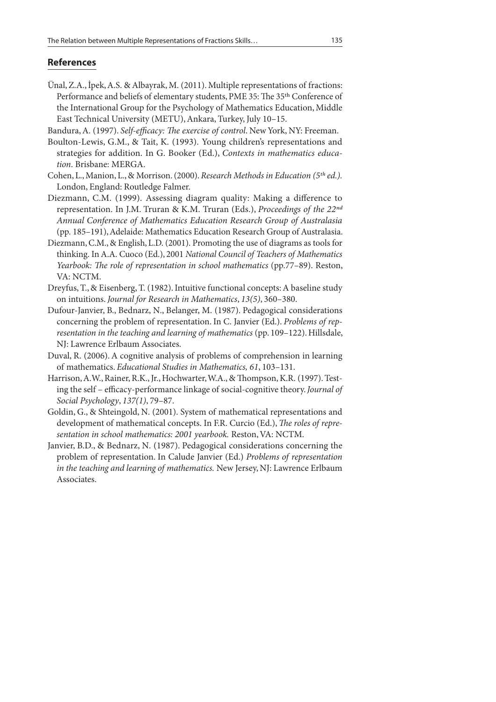## **References**

- Ünal, Z.A., İpek, A.S. & Albayrak, M. (2011). Multiple representations of fractions: Performance and beliefs of elementary students, PME 35: The 35<sup>th</sup> Conference of the International Group for the Psychology of Mathematics Education, Middle East Technical University (METU), Ankara, Turkey, July 10–15.
- Bandura, A. (1997). Self-efficacy: The exercise of control. New York, NY: Freeman.
- Boulton-Lewis, G.M., & Tait, K. (1993). Young children's representations and strategies for addition. In G. Booker (Ed.), Contexts in mathematics education. Brisbane: MERGA.
- Cohen, L., Manion, L., & Morrison. (2000). Research Methods in Education (5<sup>th</sup> ed.). London, England: Routledge Falmer.
- Diezmann, C.M. (1999). Assessing diagram quality: Making a difference to representation. In J.M. Truran & K.M. Truran (Eds.), Proceedings of the  $22^{nd}$ Annual Conference of Mathematics Education Research Group of Australasia (pp. 185–191), Adelaide: Mathematics Education Research Group of Australasia.
- Diezmann, C.M., & English, L.D. (2001). Promoting the use of diagrams as tools for thinking. In A.A. Cuoco (Ed.), 2001 National Council of Teachers of Mathematics Yearbook: The role of representation in school mathematics (pp.77–89). Reston, VA: NCTM.
- Dreyfus, T., & Eisenberg, T. (1982). Intuitive functional concepts: A baseline study on intuitions. Journal for Research in Mathematics, 13(5), 360–380.
- Dufour-Janvier, B., Bednarz, N., Belanger, M. (1987). Pedagogical considerations concerning the problem of representation. In C. Janvier (Ed.). Problems of representation in the teaching and learning of mathematics (pp. 109–122). Hillsdale, NJ: Lawrence Erlbaum Associates.
- Duval, R. (2006). A cognitive analysis of problems of comprehension in learning of mathematics. Educational Studies in Mathematics, 61, 103–131.
- Harrison, A.W., Rainer, R.K., Jr., Hochwarter, W.A., & Thompson, K.R. (1997). Testing the self - efficacy-performance linkage of social-cognitive theory. Journal of Social Psychology, 137(1), 79–87.
- Goldin, G., & Shteingold, N. (2001). System of mathematical representations and development of mathematical concepts. In F.R. Curcio (Ed.), The roles of representation in school mathematics: 2001 yearbook. Reston, VA: NCTM.
- Janvier, B.D., & Bednarz, N. (1987). Pedagogical considerations concerning the problem of representation. In Calude Janvier (Ed.) Problems of representation in the teaching and learning of mathematics. New Jersey, NJ: Lawrence Erlbaum Associates.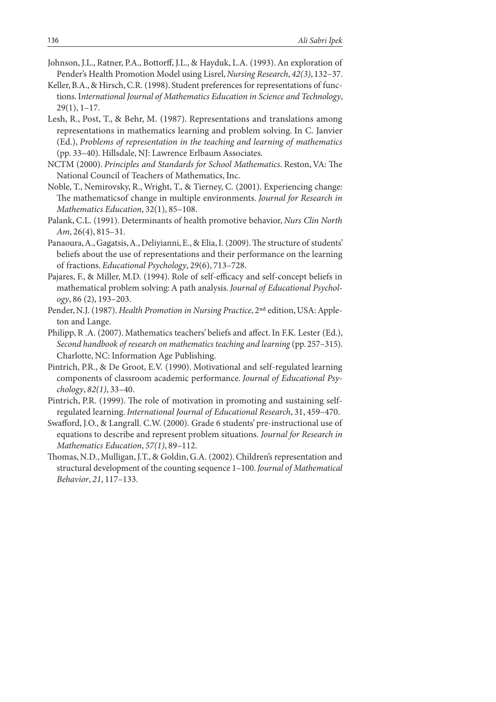- Johnson, J.L., Ratner, P.A., Bottorff, J.L., & Hayduk, L.A. (1993). An exploration of Pender's Health Promotion Model using Lisrel, Nursing Research, 42(3), 132–37.
- Keller, B.A., & Hirsch, C.R. (1998). Student preferences for representations of functions. International Journal of Mathematics Education in Science and Technology, 29(1), 1–17.
- Lesh, R., Post, T., & Behr, M. (1987). Representations and translations among representations in mathematics learning and problem solving. In C. Janvier (Ed.), Problems of representation in the teaching and learning of mathematics (pp. 33–40). Hillsdale, NJ: Lawrence Erlbaum Associates.
- NCTM (2000). Principles and Standards for School Mathematics. Reston, VA: The National Council of Teachers of Mathematics, Inc.
- Noble, T., Nemirovsky, R., Wright, T., & Tierney, C. (2001). Experiencing change: The mathematicsof change in multiple environments. Journal for Research in Mathematics Education, 32(1), 85–108.
- Palank, C.L. (1991). Determinants of health promotive behavior, Nurs Clin North Am, 26(4), 815–31.
- Panaoura, A., Gagatsis, A., Deliyianni, E., & Elia, I. (2009). The structure of students' beliefs about the use of representations and their performance on the learning of fractions. Educational Psychology, 29(6), 713–728.
- Pajares, F., & Miller, M.D. (1994). Role of self-efficacy and self-concept beliefs in mathematical problem solving: A path analysis. Journal of Educational Psychology, 86 (2), 193–203.
- Pender, N.J. (1987). Health Promotion in Nursing Practice, 2<sup>nd</sup> edition, USA: Appleton and Lange.
- Philipp, R.A. (2007). Mathematics teachers' beliefs and affect. In F.K. Lester (Ed.), Second handbook of research on mathematics teaching and learning (pp. 257–315). Charlotte, NC: Information Age Publishing.
- Pintrich, P.R., & De Groot, E.V. (1990). Motivational and self-regulated learning components of classroom academic performance. Journal of Educational Psychology, 82(1), 33–40.
- Pintrich, P.R. (1999). The role of motivation in promoting and sustaining selfregulated learning. International Journal of Educational Research, 31, 459–470.
- Swafford, J.O., & Langrall. C.W. (2000). Grade 6 students' pre-instructional use of equations to describe and represent problem situations. Journal for Research in Mathematics Education, 57(1), 89–112.
- Thomas, N.D., Mulligan, J.T., & Goldin, G.A. (2002). Children's representation and structural development of the counting sequence 1–100. Journal of Mathematical Behavior, 21, 117–133.